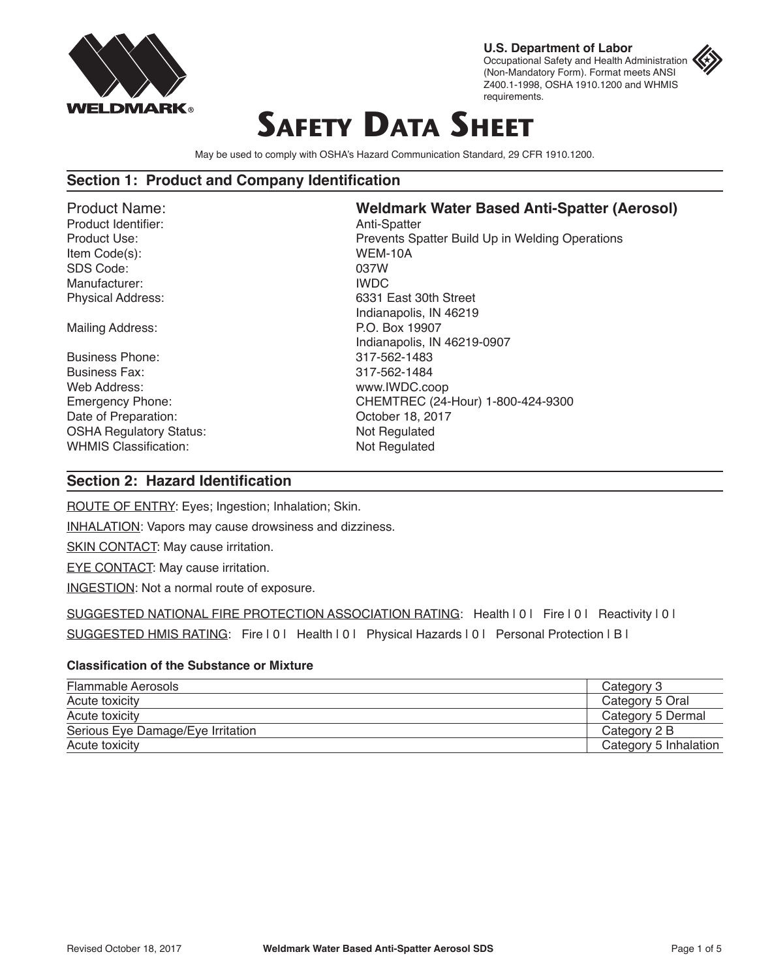

**U.S. Department of Labor** Occupational Safety and Health Administration (Non-Mandatory Form). Format meets ANSI Z400.1-1998, OSHA 1910.1200 and WHMIS requirements.

# **Safety Data Sheet**

May be used to comply with OSHA's Hazard Communication Standard, 29 CFR 1910.1200.

#### **Section 1: Product and Company Identification**

Product Identifier: Anti-Spatter Item Code(s): WEM-10A SDS Code: 037W Manufacturer: **IWDC** 

Mailing Address: P.O. Box 19907

Business Phone: 317-562-1483 Business Fax: 317-562-1484 Web Address: www.IWDC.coop Date of Preparation: Contact Contact Contact Contact Contact October 18, 2017 OSHA Regulatory Status: Not Regulated WHMIS Classification: Not Regulated

## Product Name: **Weldmark Water Based Anti-Spatter (Aerosol)**

Product Use: Prevents Spatter Build Up in Welding Operations Physical Address: 6331 East 30th Street Indianapolis, IN 46219 Indianapolis, IN 46219-0907 Emergency Phone: CHEMTREC (24-Hour) 1-800-424-9300

## **Section 2: Hazard Identification**

ROUTE OF ENTRY: Eyes; Ingestion; Inhalation; Skin.

INHALATION: Vapors may cause drowsiness and dizziness.

SKIN CONTACT: May cause irritation.

EYE CONTACT: May cause irritation.

INGESTION: Not a normal route of exposure.

SUGGESTED NATIONAL FIRE PROTECTION ASSOCIATION RATING: Health | 0 | Fire | 0 | Reactivity | 0 | SUGGESTED HMIS RATING: Fire | 0 | Health | 0 | Physical Hazards | 0 | Personal Protection | B |

#### **Classification of the Substance or Mixture**

| Flammable Aerosols                | Category 3            |
|-----------------------------------|-----------------------|
| Acute toxicity                    | Category 5 Oral       |
| Acute toxicity                    | Category 5 Dermal     |
| Serious Eye Damage/Eye Irritation | Category 2 B          |
| Acute toxicity                    | Category 5 Inhalation |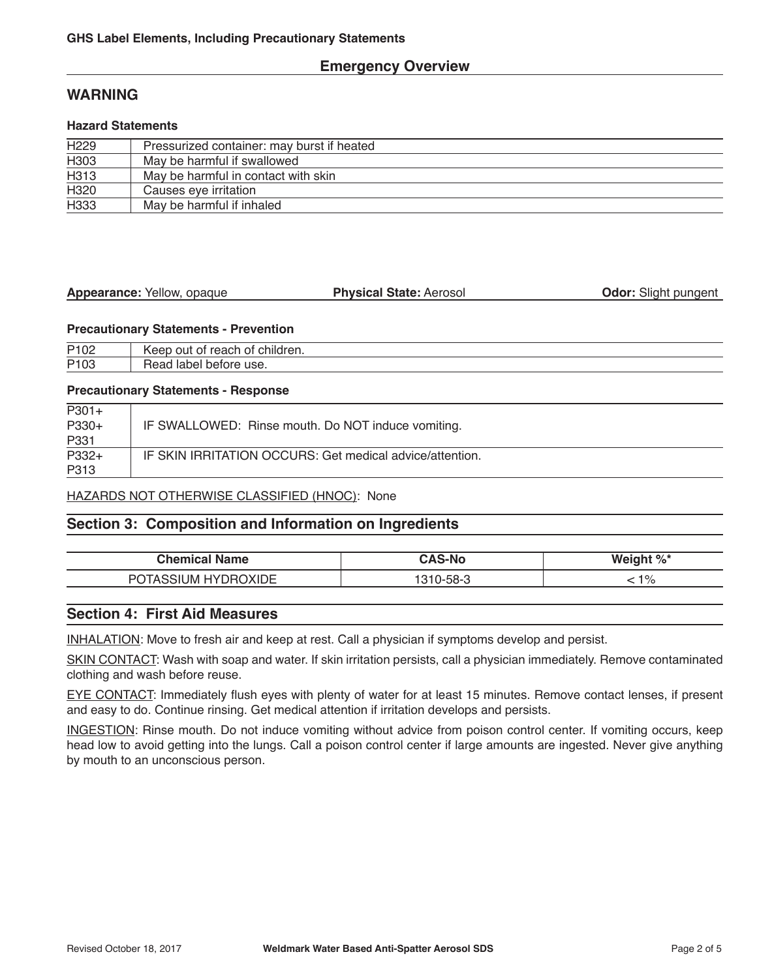## **Emergency Overview**

## **WARNING**

#### **Hazard Statements**

| H <sub>229</sub> | Pressurized container: may burst if heated |  |
|------------------|--------------------------------------------|--|
| H <sub>303</sub> | May be harmful if swallowed                |  |
| H313             | May be harmful in contact with skin        |  |
| H320             | Causes eye irritation                      |  |
| H333             | May be harmful if inhaled                  |  |

| Appearance: Yellow, opaque | <b>Physical State: Aerosol</b> | <b>Odor:</b> Slight pungent |
|----------------------------|--------------------------------|-----------------------------|
|                            |                                |                             |

#### **Precautionary Statements - Prevention**

| P102 | children.<br>reach<br>∩⊔t<br>∩t<br>AAr.<br>OT.      |
|------|-----------------------------------------------------|
| P103 | ------<br>--<br>use.<br>lapel<br>perore<br>⊷<br>edu |

#### **Precautionary Statements - Response**

| $P301+$ |                                                          |
|---------|----------------------------------------------------------|
| $P330+$ | IF SWALLOWED: Rinse mouth. Do NOT induce vomiting.       |
| P331    |                                                          |
| P332+   | IF SKIN IRRITATION OCCURS: Get medical advice/attention. |
| P313    |                                                          |

#### HAZARDS NOT OTHERWISE CLASSIFIED (HNOC): None

## **Section 3: Composition and Information on Ingredients**

| Chemical<br>Name         | -N | nt %'<br>Ma |
|--------------------------|----|-------------|
| ∕ ⊊ו<br>⊣∨<br>JM.<br>⊣וו |    | 40/<br>7C   |

## **Section 4: First Aid Measures**

INHALATION: Move to fresh air and keep at rest. Call a physician if symptoms develop and persist.

SKIN CONTACT: Wash with soap and water. If skin irritation persists, call a physician immediately. Remove contaminated clothing and wash before reuse.

EYE CONTACT: Immediately flush eyes with plenty of water for at least 15 minutes. Remove contact lenses, if present and easy to do. Continue rinsing. Get medical attention if irritation develops and persists.

INGESTION: Rinse mouth. Do not induce vomiting without advice from poison control center. If vomiting occurs, keep head low to avoid getting into the lungs. Call a poison control center if large amounts are ingested. Never give anything by mouth to an unconscious person.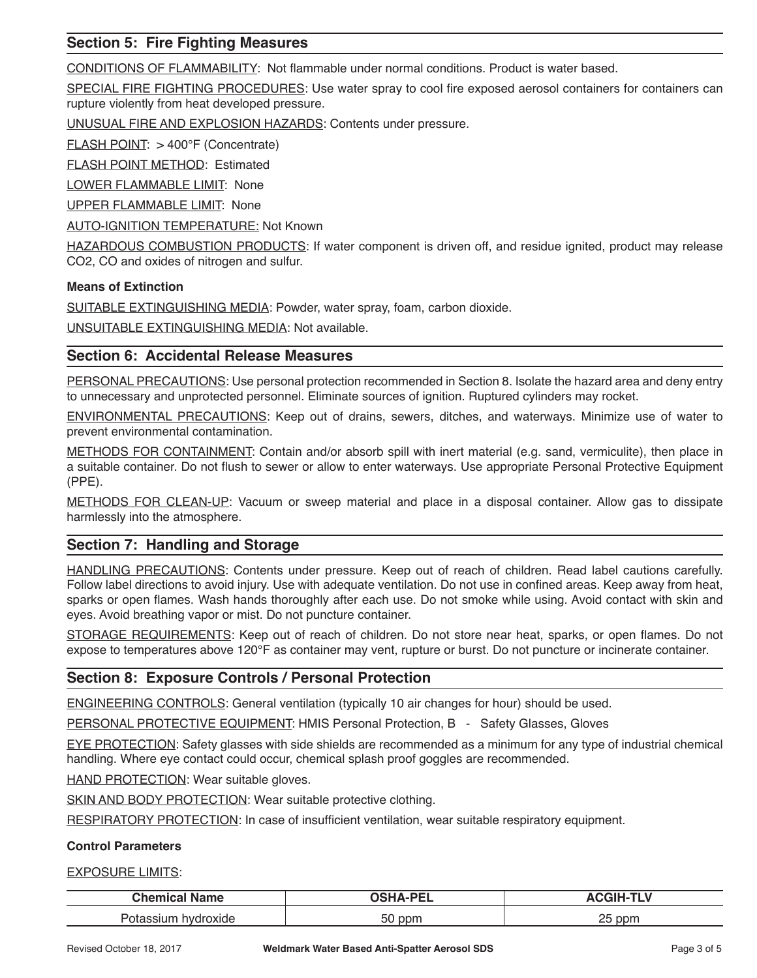## **Section 5: Fire Fighting Measures**

CONDITIONS OF FLAMMABILITY: Not flammable under normal conditions. Product is water based.

SPECIAL FIRE FIGHTING PROCEDURES: Use water spray to cool fire exposed aerosol containers for containers can rupture violently from heat developed pressure.

UNUSUAL FIRE AND EXPLOSION HAZARDS: Contents under pressure.

FLASH POINT: > 400°F (Concentrate)

FLASH POINT METHOD: Estimated

LOWER FLAMMABLE LIMIT: None

UPPER FLAMMABLE LIMIT: None

**AUTO-IGNITION TEMPERATURE: Not Known** 

HAZARDOUS COMBUSTION PRODUCTS: If water component is driven off, and residue ignited, product may release CO2, CO and oxides of nitrogen and sulfur.

#### **Means of Extinction**

SUITABLE EXTINGUISHING MEDIA: Powder, water spray, foam, carbon dioxide.

UNSUITABLE EXTINGUISHING MEDIA: Not available.

#### **Section 6: Accidental Release Measures**

PERSONAL PRECAUTIONS: Use personal protection recommended in Section 8. Isolate the hazard area and deny entry to unnecessary and unprotected personnel. Eliminate sources of ignition. Ruptured cylinders may rocket.

ENVIRONMENTAL PRECAUTIONS: Keep out of drains, sewers, ditches, and waterways. Minimize use of water to prevent environmental contamination.

METHODS FOR CONTAINMENT: Contain and/or absorb spill with inert material (e.g. sand, vermiculite), then place in a suitable container. Do not flush to sewer or allow to enter waterways. Use appropriate Personal Protective Equipment (PPE).

METHODS FOR CLEAN-UP: Vacuum or sweep material and place in a disposal container. Allow gas to dissipate harmlessly into the atmosphere.

## **Section 7: Handling and Storage**

HANDLING PRECAUTIONS: Contents under pressure. Keep out of reach of children. Read label cautions carefully. Follow label directions to avoid injury. Use with adequate ventilation. Do not use in confined areas. Keep away from heat, sparks or open flames. Wash hands thoroughly after each use. Do not smoke while using. Avoid contact with skin and eyes. Avoid breathing vapor or mist. Do not puncture container.

STORAGE REQUIREMENTS: Keep out of reach of children. Do not store near heat, sparks, or open flames. Do not expose to temperatures above 120°F as container may vent, rupture or burst. Do not puncture or incinerate container.

## **Section 8: Exposure Controls / Personal Protection**

ENGINEERING CONTROLS: General ventilation (typically 10 air changes for hour) should be used.

PERSONAL PROTECTIVE EQUIPMENT: HMIS Personal Protection, B - Safety Glasses, Gloves

EYE PROTECTION: Safety glasses with side shields are recommended as a minimum for any type of industrial chemical handling. Where eye contact could occur, chemical splash proof goggles are recommended.

HAND PROTECTION: Wear suitable gloves.

SKIN AND BODY PROTECTION: Wear suitable protective clothing.

RESPIRATORY PROTECTION: In case of insufficient ventilation, wear suitable respiratory equipment.

#### **Control Parameters**

EXPOSURE LIMITS:

| Chemical<br><b>Name</b> | --            | <b>SELLA 5</b> |
|-------------------------|---------------|----------------|
| droxide                 | $\sim$ $\sim$ | つに             |
| 'Siur                   | ppm           | ppm            |
| лаг                     | ას            | --             |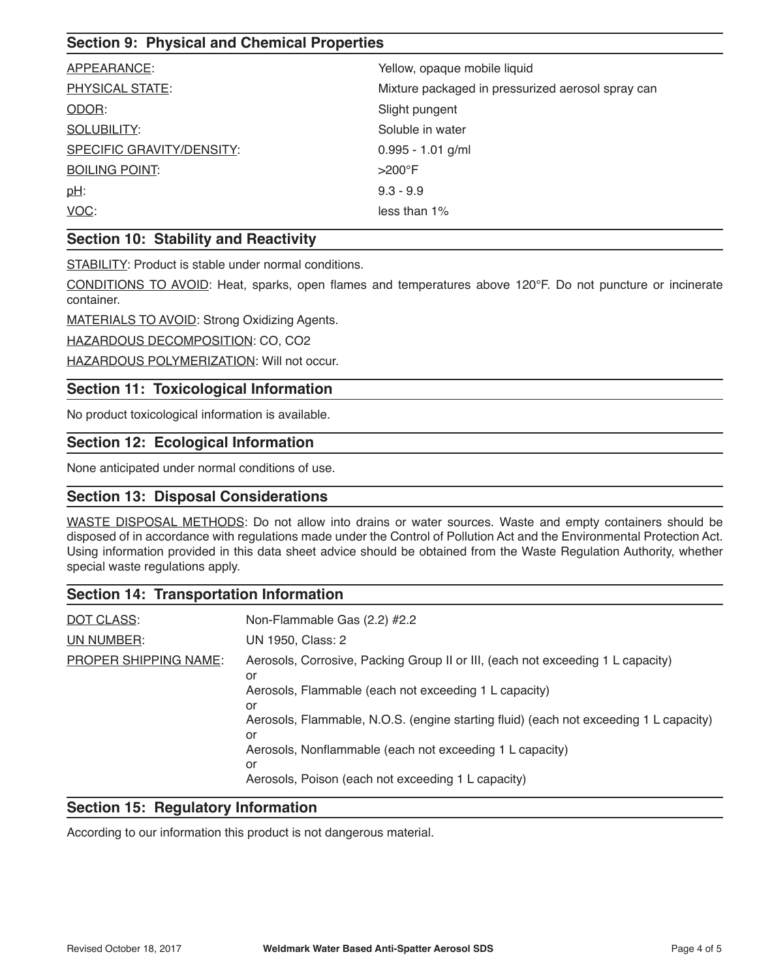## **Section 9: Physical and Chemical Properties**

| APPEARANCE:               | Yellow, opaque mobile liquid                      |
|---------------------------|---------------------------------------------------|
| PHYSICAL STATE:           | Mixture packaged in pressurized aerosol spray can |
| ODOR:                     | Slight pungent                                    |
| <b>SOLUBILITY:</b>        | Soluble in water                                  |
| SPECIFIC GRAVITY/DENSITY: | $0.995 - 1.01$ g/ml                               |
| <b>BOILING POINT:</b>     | $>200^\circ$ F                                    |
| $pH$ :                    | $9.3 - 9.9$                                       |
| VOC:                      | less than 1%                                      |
|                           |                                                   |

## **Section 10: Stability and Reactivity**

STABILITY: Product is stable under normal conditions.

CONDITIONS TO AVOID: Heat, sparks, open flames and temperatures above 120°F. Do not puncture or incinerate container.

MATERIALS TO AVOID: Strong Oxidizing Agents.

HAZARDOUS DECOMPOSITION: CO, CO2

HAZARDOUS POLYMERIZATION: Will not occur.

## **Section 11: Toxicological Information**

No product toxicological information is available.

## **Section 12: Ecological Information**

None anticipated under normal conditions of use.

### **Section 13: Disposal Considerations**

WASTE DISPOSAL METHODS: Do not allow into drains or water sources. Waste and empty containers should be disposed of in accordance with regulations made under the Control of Pollution Act and the Environmental Protection Act. Using information provided in this data sheet advice should be obtained from the Waste Regulation Authority, whether special waste regulations apply.

#### **Section 14: Transportation Information**

| DOT CLASS:            | Non-Flammable Gas (2.2) #2.2                                                                |
|-----------------------|---------------------------------------------------------------------------------------------|
| UN NUMBER:            | UN 1950, Class: 2                                                                           |
| PROPER SHIPPING NAME: | Aerosols, Corrosive, Packing Group II or III, (each not exceeding 1 L capacity)<br>or       |
|                       | Aerosols, Flammable (each not exceeding 1 L capacity)<br>or                                 |
|                       | Aerosols, Flammable, N.O.S. (engine starting fluid) (each not exceeding 1 L capacity)<br>or |
|                       | Aerosols, Nonflammable (each not exceeding 1 L capacity)<br>or                              |
|                       | Aerosols, Poison (each not exceeding 1 L capacity)                                          |

#### **Section 15: Regulatory Information**

According to our information this product is not dangerous material.